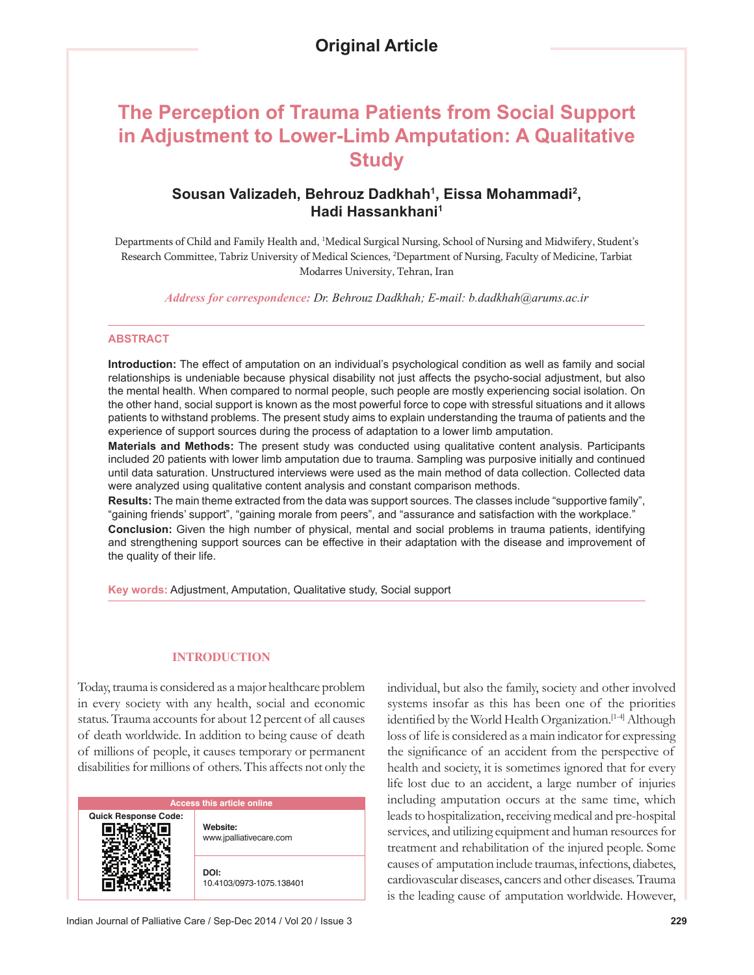# **The Perception of Trauma Patients from Social Support in Adjustment to Lower-Limb Amputation: A Qualitative Study**

# **Sousan Valizadeh, Behrouz Dadkhah1 , Eissa Mohammadi2 , Hadi Hassankhani1**

Departments of Child and Family Health and, <sup>1</sup>Medical Surgical Nursing, School of Nursing and Midwifery, Student's Research Committee, Tabriz University of Medical Sciences, 2 Department of Nursing, Faculty of Medicine, Tarbiat Modarres University, Tehran, Iran

*Address for correspondence: Dr. Behrouz Dadkhah; E-mail: b.dadkhah@arums.ac.ir*

### **ABSTRACT**

**Introduction:** The effect of amputation on an individual's psychological condition as well as family and social relationships is undeniable because physical disability not just affects the psycho-social adjustment, but also the mental health. When compared to normal people, such people are mostly experiencing social isolation. On the other hand, social support is known as the most powerful force to cope with stressful situations and it allows patients to withstand problems. The present study aims to explain understanding the trauma of patients and the experience of support sources during the process of adaptation to a lower limb amputation.

**Materials and Methods:** The present study was conducted using qualitative content analysis. Participants included 20 patients with lower limb amputation due to trauma. Sampling was purposive initially and continued until data saturation. Unstructured interviews were used as the main method of data collection. Collected data were analyzed using qualitative content analysis and constant comparison methods.

**Results:** The main theme extracted from the data was support sources. The classes include "supportive family", "gaining friends' support", "gaining morale from peers", and "assurance and satisfaction with the workplace." **Conclusion:** Given the high number of physical, mental and social problems in trauma patients, identifying and strengthening support sources can be effective in their adaptation with the disease and improvement of the quality of their life.

**Key words:** Adjustment, Amputation, Qualitative study, Social support

### **INTRODUCTION**

Today, trauma is considered as a major healthcare problem in every society with any health, social and economic status. Trauma accounts for about 12 percent of all causes of death worldwide. In addition to being cause of death of millions of people, it causes temporary or permanent disabilities for millions of others. This affects not only the

| <b>Access this article online</b> |                                     |
|-----------------------------------|-------------------------------------|
| <b>Quick Response Code:</b>       | Website:<br>www.jpalliativecare.com |
|                                   | DOI:<br>10.4103/0973-1075.138401    |

individual, but also the family, society and other involved systems insofar as this has been one of the priorities identified by the World Health Organization.<sup>[1-4]</sup> Although loss of life is considered as a main indicator for expressing the significance of an accident from the perspective of health and society, it is sometimes ignored that for every life lost due to an accident, a large number of injuries including amputation occurs at the same time, which leads to hospitalization, receiving medical and pre-hospital services, and utilizing equipment and human resources for treatment and rehabilitation of the injured people. Some causes of amputation include traumas, infections, diabetes, cardiovascular diseases, cancers and other diseases. Trauma is the leading cause of amputation worldwide. However,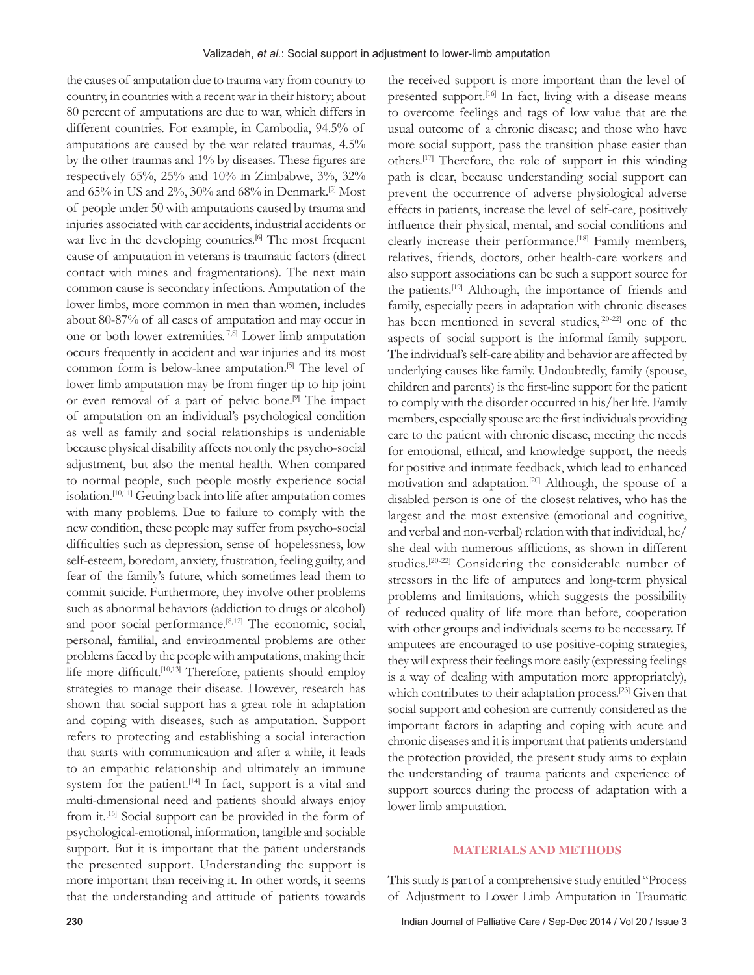the causes of amputation due to trauma vary from country to country, in countries with a recent war in their history; about 80 percent of amputations are due to war, which differs in different countries. For example, in Cambodia, 94.5% of amputations are caused by the war related traumas, 4.5% by the other traumas and  $1\%$  by diseases. These figures are respectively 65%, 25% and 10% in Zimbabwe, 3%, 32% and 65% in US and 2%, 30% and 68% in Denmark.[5] Most of people under 50 with amputations caused by trauma and injuries associated with car accidents, industrial accidents or war live in the developing countries.<sup>[6]</sup> The most frequent cause of amputation in veterans is traumatic factors (direct contact with mines and fragmentations). The next main common cause is secondary infections. Amputation of the lower limbs, more common in men than women, includes about 80-87% of all cases of amputation and may occur in one or both lower extremities.[7,8] Lower limb amputation occurs frequently in accident and war injuries and its most common form is below-knee amputation.[5] The level of lower limb amputation may be from finger tip to hip joint or even removal of a part of pelvic bone.[9] The impact of amputation on an individual's psychological condition as well as family and social relationships is undeniable because physical disability affects not only the psycho-social adjustment, but also the mental health. When compared to normal people, such people mostly experience social isolation. [10,11] Getting back into life after amputation comes with many problems. Due to failure to comply with the new condition, these people may suffer from psycho-social difficulties such as depression, sense of hopelessness, low self-esteem, boredom, anxiety, frustration, feeling guilty, and fear of the family's future, which sometimes lead them to commit suicide. Furthermore, they involve other problems such as abnormal behaviors (addiction to drugs or alcohol) and poor social performance.<sup>[8,12]</sup> The economic, social, personal, familial, and environmental problems are other problems faced by the people with amputations, making their life more difficult.<sup>[10,13]</sup> Therefore, patients should employ strategies to manage their disease. However, research has shown that social support has a great role in adaptation and coping with diseases, such as amputation. Support refers to protecting and establishing a social interaction that starts with communication and after a while, it leads to an empathic relationship and ultimately an immune system for the patient.<sup>[14]</sup> In fact, support is a vital and multi-dimensional need and patients should always enjoy from it.[15] Social support can be provided in the form of psychological-emotional, information, tangible and sociable support. But it is important that the patient understands the presented support. Understanding the support is more important than receiving it. In other words, it seems that the understanding and attitude of patients towards

the received support is more important than the level of presented support.<sup>[16]</sup> In fact, living with a disease means to overcome feelings and tags of low value that are the usual outcome of a chronic disease; and those who have more social support, pass the transition phase easier than others.[17] Therefore, the role of support in this winding path is clear, because understanding social support can prevent the occurrence of adverse physiological adverse effects in patients, increase the level of self-care, positively influence their physical, mental, and social conditions and clearly increase their performance.<sup>[18]</sup> Family members, relatives, friends, doctors, other health-care workers and also support associations can be such a support source for the patients.[19] Although, the importance of friends and family, especially peers in adaptation with chronic diseases has been mentioned in several studies,<sup>[20-22]</sup> one of the aspects of social support is the informal family support. The individual's self-care ability and behavior are affected by underlying causes like family. Undoubtedly, family (spouse, children and parents) is the first-line support for the patient to comply with the disorder occurred in his/her life. Family members, especially spouse are the first individuals providing care to the patient with chronic disease, meeting the needs for emotional, ethical, and knowledge support, the needs for positive and intimate feedback, which lead to enhanced motivation and adaptation.[20] Although, the spouse of a disabled person is one of the closest relatives, who has the largest and the most extensive (emotional and cognitive, and verbal and non-verbal) relation with that individual, he/ she deal with numerous afflictions, as shown in different studies.[20-22] Considering the considerable number of stressors in the life of amputees and long-term physical problems and limitations, which suggests the possibility of reduced quality of life more than before, cooperation with other groups and individuals seems to be necessary. If amputees are encouraged to use positive-coping strategies, they will express their feelings more easily (expressing feelings is a way of dealing with amputation more appropriately), which contributes to their adaptation process.<sup>[23]</sup> Given that social support and cohesion are currently considered as the important factors in adapting and coping with acute and chronic diseases and it is important that patients understand the protection provided, the present study aims to explain the understanding of trauma patients and experience of support sources during the process of adaptation with a lower limb amputation.

### **MATERIALS AND METHODS**

This study is part of a comprehensive study entitled "Process" of Adjustment to Lower Limb Amputation in Traumatic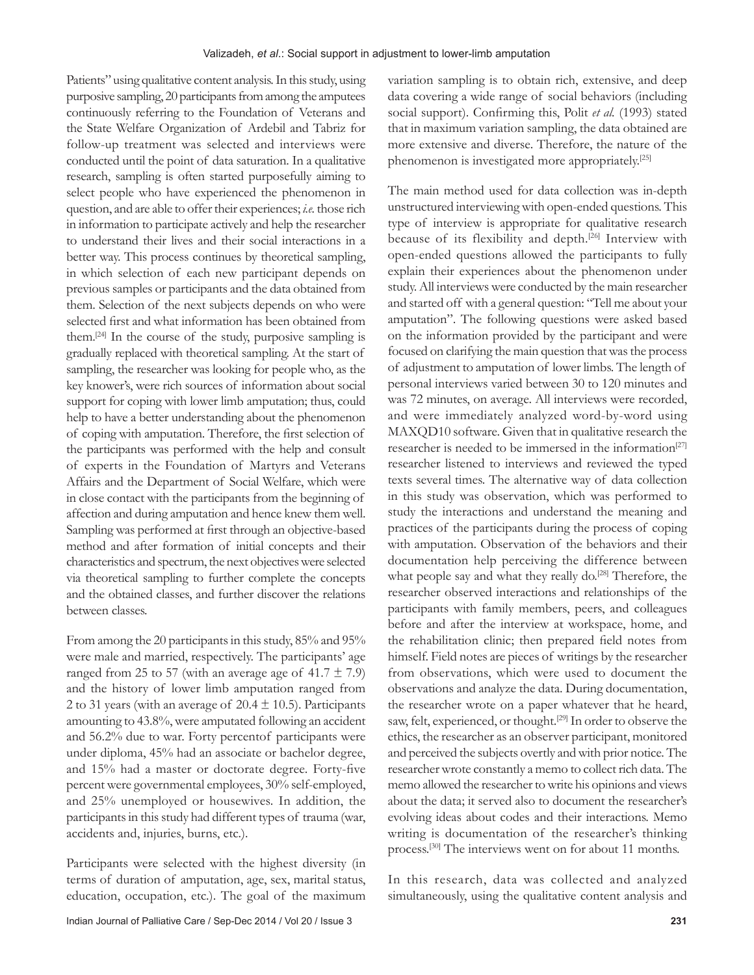Patients" using qualitative content analysis. In this study, using purposive sampling, 20 participants from among the amputees continuously referring to the Foundation of Veterans and the State Welfare Organization of Ardebil and Tabriz for follow-up treatment was selected and interviews were conducted until the point of data saturation. In a qualitative research, sampling is often started purposefully aiming to select people who have experienced the phenomenon in question, and are able to offer their experiences; *i.e.* those rich in information to participate actively and help the researcher to understand their lives and their social interactions in a better way. This process continues by theoretical sampling, in which selection of each new participant depends on previous samples or participants and the data obtained from them. Selection of the next subjects depends on who were selected first and what information has been obtained from them.[24] In the course of the study, purposive sampling is gradually replaced with theoretical sampling. At the start of sampling, the researcher was looking for people who, as the key knower's, were rich sources of information about social support for coping with lower limb amputation; thus, could help to have a better understanding about the phenomenon of coping with amputation. Therefore, the first selection of the participants was performed with the help and consult of experts in the Foundation of Martyrs and Veterans Affairs and the Department of Social Welfare, which were in close contact with the participants from the beginning of affection and during amputation and hence knew them well. Sampling was performed at first through an objective-based method and after formation of initial concepts and their characteristics and spectrum, the next objectives were selected via theoretical sampling to further complete the concepts and the obtained classes, and further discover the relations between classes.

From among the 20 participants in this study, 85% and 95% were male and married, respectively. The participants' age ranged from 25 to 57 (with an average age of  $41.7 \pm 7.9$ ) and the history of lower limb amputation ranged from 2 to 31 years (with an average of  $20.4 \pm 10.5$ ). Participants amounting to 43.8%, were amputated following an accident and 56.2% due to war. Forty percentof participants were under diploma, 45% had an associate or bachelor degree, and 15% had a master or doctorate degree. Forty-five percent were governmental employees, 30% self-employed, and 25% unemployed or housewives. In addition, the participants in this study had different types of trauma (war, accidents and, injuries, burns, etc.).

 Participants were selected with the highest diversity (in terms of duration of amputation, age, sex, marital status, education, occupation, etc.). The goal of the maximum variation sampling is to obtain rich, extensive, and deep data covering a wide range of social behaviors (including social support). Confirming this, Polit *et al.* (1993) stated that in maximum variation sampling, the data obtained are more extensive and diverse. Therefore, the nature of the phenomenon is investigated more appropriately.<sup>[25]</sup>

The main method used for data collection was in-depth unstructured interviewing with open-ended questions. This type of interview is appropriate for qualitative research because of its flexibility and depth.[26] Interview with open-ended questions allowed the participants to fully explain their experiences about the phenomenon under study. All interviews were conducted by the main researcher and started off with a general question: "Tell me about your amputation". The following questions were asked based on the information provided by the participant and were focused on clarifying the main question that was the process of adjustment to amputation of lower limbs. The length of personal interviews varied between 30 to 120 minutes and was 72 minutes, on average. All interviews were recorded, and were immediately analyzed word-by-word using MAXQD10 software. Given that in qualitative research the researcher is needed to be immersed in the information<sup>[27]</sup> researcher listened to interviews and reviewed the typed texts several times. The alternative way of data collection in this study was observation, which was performed to study the interactions and understand the meaning and practices of the participants during the process of coping with amputation. Observation of the behaviors and their documentation help perceiving the difference between what people say and what they really do.<sup>[28]</sup> Therefore, the researcher observed interactions and relationships of the participants with family members, peers, and colleagues before and after the interview at workspace, home, and the rehabilitation clinic; then prepared field notes from himself. Field notes are pieces of writings by the researcher from observations, which were used to document the observations and analyze the data. During documentation, the researcher wrote on a paper whatever that he heard, saw, felt, experienced, or thought.<sup>[29]</sup> In order to observe the ethics, the researcher as an observer participant, monitored and perceived the subjects overtly and with prior notice. The researcher wrote constantly a memo to collect rich data. The memo allowed the researcher to write his opinions and views about the data; it served also to document the researcher's evolving ideas about codes and their interactions. Memo writing is documentation of the researcher's thinking process.[30] The interviews went on for about 11 months.

 In this research, data was collected and analyzed simultaneously, using the qualitative content analysis and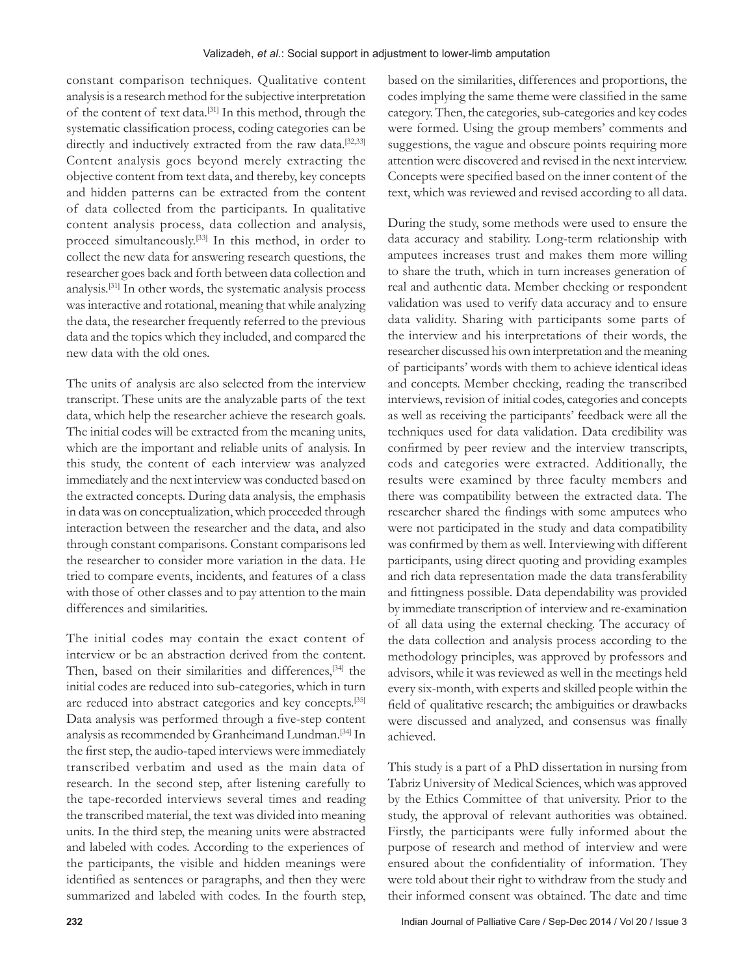constant comparison techniques. Qualitative content analysis is a research method for the subjective interpretation of the content of text data.[31] In this method, through the systematic classification process, coding categories can be directly and inductively extracted from the raw data.<sup>[32,33]</sup> Content analysis goes beyond merely extracting the objective content from text data, and thereby, key concepts and hidden patterns can be extracted from the content of data collected from the participants. In qualitative content analysis process, data collection and analysis, proceed simultaneously.[33] In this method, in order to collect the new data for answering research questions, the researcher goes back and forth between data collection and analysis.[31] In other words, the systematic analysis process was interactive and rotational, meaning that while analyzing the data, the researcher frequently referred to the previous data and the topics which they included, and compared the new data with the old ones.

The units of analysis are also selected from the interview transcript. These units are the analyzable parts of the text data, which help the researcher achieve the research goals. The initial codes will be extracted from the meaning units, which are the important and reliable units of analysis. In this study, the content of each interview was analyzed immediately and the next interview was conducted based on the extracted concepts. During data analysis, the emphasis in data was on conceptualization, which proceeded through interaction between the researcher and the data, and also through constant comparisons. Constant comparisons led the researcher to consider more variation in the data. He tried to compare events, incidents, and features of a class with those of other classes and to pay attention to the main differences and similarities.

 The initial codes may contain the exact content of interview or be an abstraction derived from the content. Then, based on their similarities and differences,<sup>[34]</sup> the initial codes are reduced into sub-categories, which in turn are reduced into abstract categories and key concepts.[35] Data analysis was performed through a five-step content analysis as recommended by Granheimand Lundman. [34] In the first step, the audio-taped interviews were immediately transcribed verbatim and used as the main data of research. In the second step, after listening carefully to the tape-recorded interviews several times and reading the transcribed material, the text was divided into meaning units. In the third step, the meaning units were abstracted and labeled with codes. According to the experiences of the participants, the visible and hidden meanings were identified as sentences or paragraphs, and then they were summarized and labeled with codes. In the fourth step,

based on the similarities, differences and proportions, the codes implying the same theme were classified in the same category. Then, the categories, sub-categories and key codes were formed. Using the group members' comments and suggestions, the vague and obscure points requiring more attention were discovered and revised in the next interview. Concepts were specified based on the inner content of the text, which was reviewed and revised according to all data.

During the study, some methods were used to ensure the data accuracy and stability. Long-term relationship with amputees increases trust and makes them more willing to share the truth, which in turn increases generation of real and authentic data. Member checking or respondent validation was used to verify data accuracy and to ensure data validity. Sharing with participants some parts of the interview and his interpretations of their words, the researcher discussed his own interpretation and the meaning of participants' words with them to achieve identical ideas and concepts. Member checking, reading the transcribed interviews, revision of initial codes, categories and concepts as well as receiving the participants' feedback were all the techniques used for data validation. Data credibility was confirmed by peer review and the interview transcripts, cods and categories were extracted. Additionally, the results were examined by three faculty members and there was compatibility between the extracted data. The researcher shared the findings with some amputees who were not participated in the study and data compatibility was confirmed by them as well. Interviewing with different participants, using direct quoting and providing examples and rich data representation made the data transferability and fittingness possible. Data dependability was provided by immediate transcription of interview and re-examination of all data using the external checking. The accuracy of the data collection and analysis process according to the methodology principles, was approved by professors and advisors, while it was reviewed as well in the meetings held every six-month, with experts and skilled people within the field of qualitative research; the ambiguities or drawbacks were discussed and analyzed, and consensus was finally achieved.

This study is a part of a PhD dissertation in nursing from Tabriz University of Medical Sciences, which was approved by the Ethics Committee of that university. Prior to the study, the approval of relevant authorities was obtained. Firstly, the participants were fully informed about the purpose of research and method of interview and were ensured about the confidentiality of information. They were told about their right to withdraw from the study and their informed consent was obtained. The date and time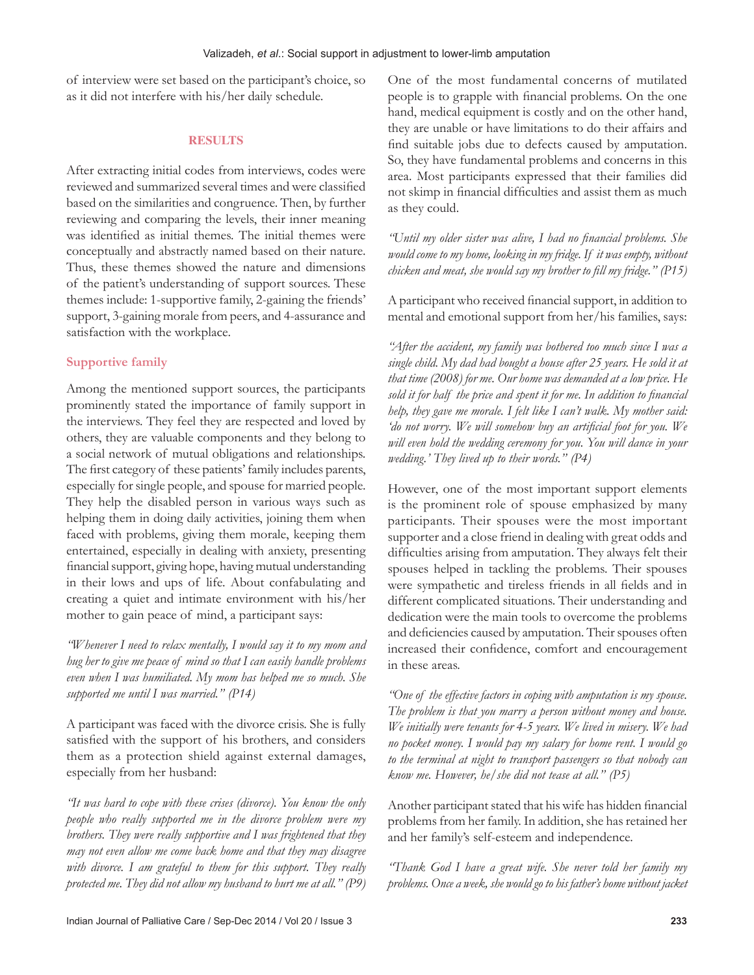of interview were set based on the participant's choice, so as it did not interfere with his/her daily schedule.

## **RESULTS**

After extracting initial codes from interviews, codes were reviewed and summarized several times and were classified based on the similarities and congruence. Then, by further reviewing and comparing the levels, their inner meaning was identified as initial themes. The initial themes were conceptually and abstractly named based on their nature. Thus, these themes showed the nature and dimensions of the patient's understanding of support sources. These themes include: 1-supportive family, 2-gaining the friends' support, 3-gaining morale from peers, and 4-assurance and satisfaction with the workplace.

# **Supportive family**

Among the mentioned support sources, the participants prominently stated the importance of family support in the interviews. They feel they are respected and loved by others, they are valuable components and they belong to a social network of mutual obligations and relationships. The first category of these patients' family includes parents, especially for single people, and spouse for married people. They help the disabled person in various ways such as helping them in doing daily activities, joining them when faced with problems, giving them morale, keeping them entertained, especially in dealing with anxiety, presenting financial support, giving hope, having mutual understanding in their lows and ups of life. About confabulating and creating a quiet and intimate environment with his/her mother to gain peace of mind, a participant says:

*"Whenever I need to relax mentally, I would say it to my mom and hug her to give me peace of mind so that I can easily handle problems even when I was humiliated. My mom has helped me so much. She supported me until I was married." (P14)*

A participant was faced with the divorce crisis. She is fully satisfied with the support of his brothers, and considers them as a protection shield against external damages, especially from her husband:

*"It was hard to cope with these crises (divorce). You know the only people who really supported me in the divorce problem were my brothers. They were really supportive and I was frightened that they may not even allow me come back home and that they may disagree*  with divorce. I am grateful to them for this support. They really *protected me. They did not allow my husband to hurt me at all." (P9)* One of the most fundamental concerns of mutilated people is to grapple with financial problems. On the one hand, medical equipment is costly and on the other hand, they are unable or have limitations to do their affairs and find suitable jobs due to defects caused by amputation. So, they have fundamental problems and concerns in this area. Most participants expressed that their families did not skimp in financial difficulties and assist them as much as they could.

"Until my older sister was alive, I had no financial problems. She *would come to my home, looking in my fridge. If it was empty, without chicken and meat, she would say my brother to fill my fridge." (P15)* 

A participant who received financial support, in addition to mental and emotional support from her/his families, says:

*"After the accident, my family was bothered too much since I was a single child. My dad had bought a house after 25 years. He sold it at that time (2008) for me. Our home was demanded at a low price. He*  sold it for half the price and spent it for me. In addition to financial *help, they gave me morale. I felt like I can't walk. My mother said:*  'do not worry. We will somehow buy an artificial foot for you. We *will even hold the wedding ceremony for you. You will dance in your wedding.' They lived up to their words." (P4)*

However, one of the most important support elements is the prominent role of spouse emphasized by many participants. Their spouses were the most important supporter and a close friend in dealing with great odds and difficulties arising from amputation. They always felt their spouses helped in tackling the problems. Their spouses were sympathetic and tireless friends in all fields and in different complicated situations. Their understanding and dedication were the main tools to overcome the problems and deficiencies caused by amputation. Their spouses often increased their confidence, comfort and encouragement in these areas.

*"One of the effective factors in coping with amputation is my spouse. The problem is that you marry a person without money and house. We initially were tenants for 4-5 years. We lived in misery. We had no pocket money. I would pay my salary for home rent. I would go to the terminal at night to transport passengers so that nobody can know me. However, he/she did not tease at all." (P5)*

Another participant stated that his wife has hidden financial problems from her family. In addition, she has retained her and her family's self-esteem and independence.

*"Thank God I have a great wife. She never told her family my problems. Once a week, she would go to his father's home without jacket*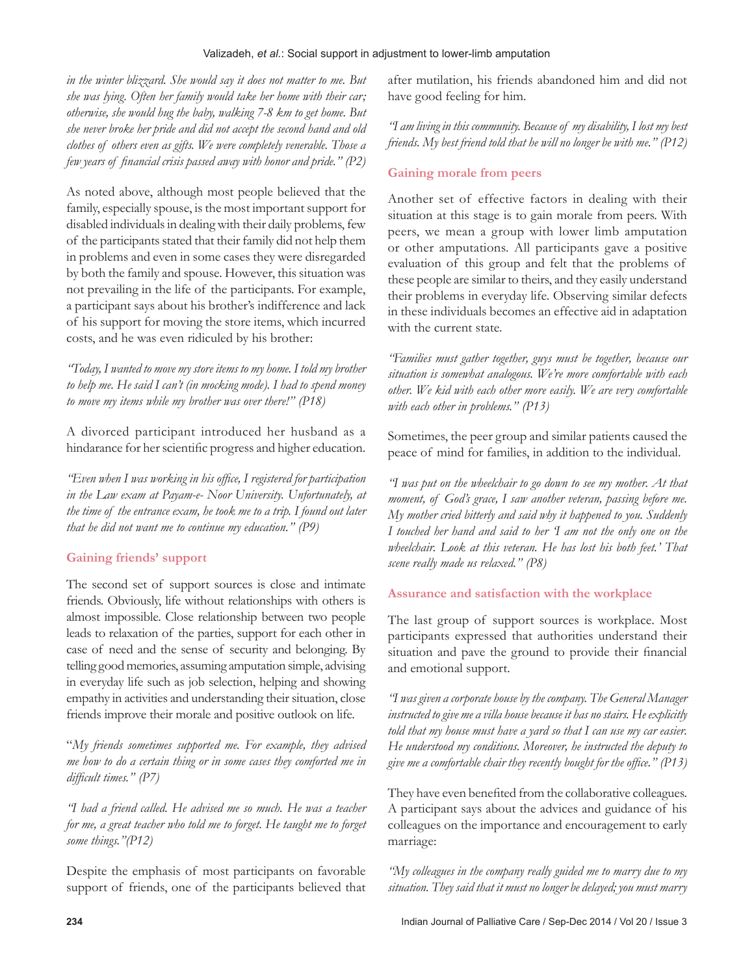## Valizadeh, *et al.*: Social support in adjustment to lower-limb amputation

*in the winter blizzard. She would say it does not matter to me. But she was lying. Often her family would take her home with their car; otherwise, she would hug the baby, walking 7-8 km to get home. But she never broke her pride and did not accept the second hand and old clothes of others even as gifts. We were completely venerable. Those a few years of financial crisis passed away with honor and pride.*" (P2)

As noted above, although most people believed that the family, especially spouse, is the most important support for disabled individuals in dealing with their daily problems, few of the participants stated that their family did not help them in problems and even in some cases they were disregarded by both the family and spouse. However, this situation was not prevailing in the life of the participants. For example, a participant says about his brother's indifference and lack of his support for moving the store items, which incurred costs, and he was even ridiculed by his brother:

*"Today, I wanted to move my store items to my home. I told my brother to help me. He said I can't (in mocking mode). I had to spend money to move my items while my brother was over there!" (P18)*

A divorced participant introduced her husband as a hindarance for her scientific progress and higher education.

"Even when I was working in his office, I registered for participation *in the Law exam at Payam-e- Noor University. Unfortunately, at the time of the entrance exam, he took me to a trip. I found out later that he did not want me to continue my education." (P9)*

# **Gaining friends' support**

The second set of support sources is close and intimate friends. Obviously, life without relationships with others is almost impossible. Close relationship between two people leads to relaxation of the parties, support for each other in case of need and the sense of security and belonging. By telling good memories, assuming amputation simple, advising in everyday life such as job selection, helping and showing empathy in activities and understanding their situation, close friends improve their morale and positive outlook on life.

"*My friends sometimes supported me. For example, they advised me how to do a certain thing or in some cases they comforted me in difficult times." (P7)* 

*"I had a friend called. He advised me so much. He was a teacher for me, a great teacher who told me to forget. He taught me to forget some things."(P12)*

Despite the emphasis of most participants on favorable support of friends, one of the participants believed that after mutilation, his friends abandoned him and did not have good feeling for him.

*"I am living in this community. Because of my disability, I lost my best friends. My best friend told that he will no longer be with me." (P12)*

# **Gaining morale from peers**

Another set of effective factors in dealing with their situation at this stage is to gain morale from peers. With peers, we mean a group with lower limb amputation or other amputations. All participants gave a positive evaluation of this group and felt that the problems of these people are similar to theirs, and they easily understand their problems in everyday life. Observing similar defects in these individuals becomes an effective aid in adaptation with the current state.

*"Families must gather together, guys must be together, because our situation is somewhat analogous. We're more comfortable with each other. We kid with each other more easily. We are very comfortable with each other in problems." (P13)*

Sometimes, the peer group and similar patients caused the peace of mind for families, in addition to the individual.

*"I was put on the wheelchair to go down to see my mother. At that moment, of God's grace, I saw another veteran, passing before me. My mother cried bitterly and said why it happened to you. Suddenly I touched her hand and said to her 'I am not the only one on the wheelchair. Look at this veteran. He has lost his both feet.' That scene really made us relaxed." (P8)*

# **Assurance and satisfaction with the workplace**

The last group of support sources is workplace. Most participants expressed that authorities understand their situation and pave the ground to provide their financial and emotional support.

*"I was given a corporate house by the company. The General Manager instructed to give me a villa house because it has no stairs. He explicitly told that my house must have a yard so that I can use my car easier. He understood my conditions. Moreover, he instructed the deputy to give me a comfortable chair they recently bought for the office.*" (P13)

They have even benefited from the collaborative colleagues. A participant says about the advices and guidance of his colleagues on the importance and encouragement to early marriage:

*"My colleagues in the company really guided me to marry due to my situation. They said that it must no longer be delayed; you must marry*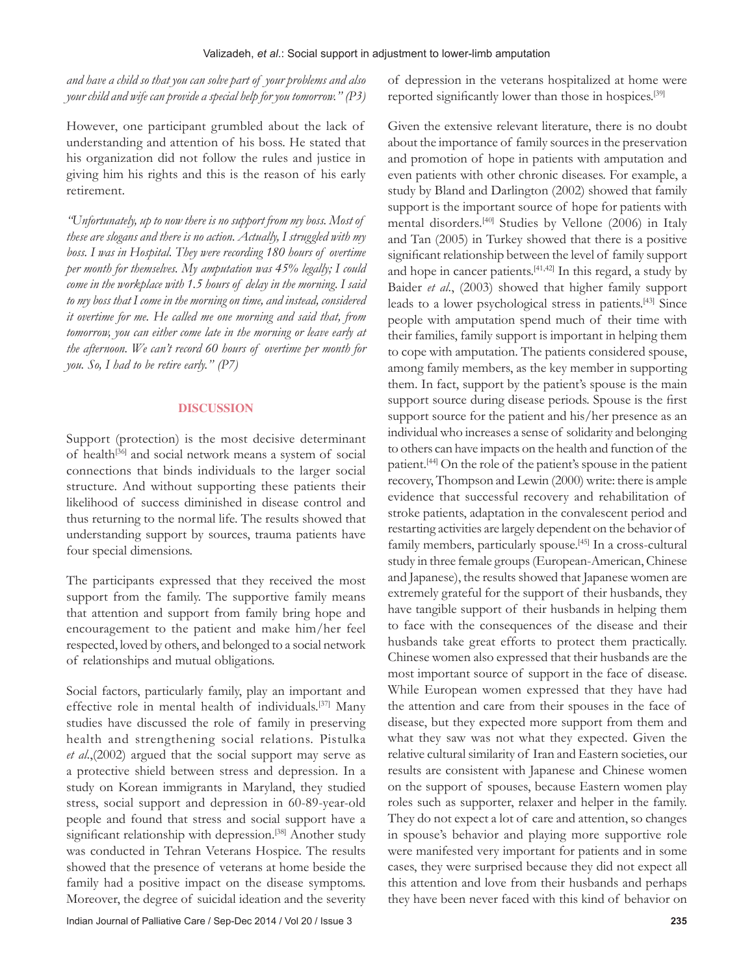*and have a child so that you can solve part of your problems and also your child and wife can provide a special help for you tomorrow." (P3)*

However, one participant grumbled about the lack of understanding and attention of his boss. He stated that his organization did not follow the rules and justice in giving him his rights and this is the reason of his early retirement.

*"Unfortunately, up to now there is no support from my boss. Most of these are slogans and there is no action. Actually, I struggled with my boss. I was in Hospital. They were recording 180 hours of overtime per month for themselves. My amputation was 45% legally; I could come in the workplace with 1.5 hours of delay in the morning. I said to my boss that I come in the morning on time, and instead, considered it overtime for me. He called me one morning and said that, from tomorrow, you can either come late in the morning or leave early at the afternoon. We can't record 60 hours of overtime per month for you. So, I had to be retire early." (P7)*

## **DISCUSSION**

Support (protection) is the most decisive determinant of health<sup>[36]</sup> and social network means a system of social connections that binds individuals to the larger social structure. And without supporting these patients their likelihood of success diminished in disease control and thus returning to the normal life. The results showed that understanding support by sources, trauma patients have four special dimensions.

The participants expressed that they received the most support from the family. The supportive family means that attention and support from family bring hope and encouragement to the patient and make him/her feel respected, loved by others, and belonged to a social network of relationships and mutual obligations.

Social factors, particularly family, play an important and effective role in mental health of individuals.[37] Many studies have discussed the role of family in preserving health and strengthening social relations. Pistulka *et al*.,(2002) argued that the social support may serve as a protective shield between stress and depression. In a study on Korean immigrants in Maryland, they studied stress, social support and depression in 60-89-year-old people and found that stress and social support have a significant relationship with depression.<sup>[38]</sup> Another study was conducted in Tehran Veterans Hospice. The results showed that the presence of veterans at home beside the family had a positive impact on the disease symptoms. Moreover, the degree of suicidal ideation and the severity of depression in the veterans hospitalized at home were reported significantly lower than those in hospices.<sup>[39]</sup>

Given the extensive relevant literature, there is no doubt about the importance of family sources in the preservation and promotion of hope in patients with amputation and even patients with other chronic diseases. For example, a study by Bland and Darlington (2002) showed that family support is the important source of hope for patients with mental disorders.[40] Studies by Vellone (2006) in Italy and Tan (2005) in Turkey showed that there is a positive significant relationship between the level of family support and hope in cancer patients. $[41,42]$  In this regard, a study by Baider *et al*., (2003) showed that higher family support leads to a lower psychological stress in patients.[43] Since people with amputation spend much of their time with their families, family support is important in helping them to cope with amputation. The patients considered spouse, among family members, as the key member in supporting them. In fact, support by the patient's spouse is the main support source during disease periods. Spouse is the first support source for the patient and his/her presence as an individual who increases a sense of solidarity and belonging to others can have impacts on the health and function of the patient.[44] On the role of the patient's spouse in the patient recovery, Thompson and Lewin (2000) write: there is ample evidence that successful recovery and rehabilitation of stroke patients, adaptation in the convalescent period and restarting activities are largely dependent on the behavior of family members, particularly spouse.<sup>[45]</sup> In a cross-cultural study in three female groups (European-American, Chinese and Japanese), the results showed that Japanese women are extremely grateful for the support of their husbands, they have tangible support of their husbands in helping them to face with the consequences of the disease and their husbands take great efforts to protect them practically. Chinese women also expressed that their husbands are the most important source of support in the face of disease. While European women expressed that they have had the attention and care from their spouses in the face of disease, but they expected more support from them and what they saw was not what they expected. Given the relative cultural similarity of Iran and Eastern societies, our results are consistent with Japanese and Chinese women on the support of spouses, because Eastern women play roles such as supporter, relaxer and helper in the family. They do not expect a lot of care and attention, so changes in spouse's behavior and playing more supportive role were manifested very important for patients and in some cases, they were surprised because they did not expect all this attention and love from their husbands and perhaps they have been never faced with this kind of behavior on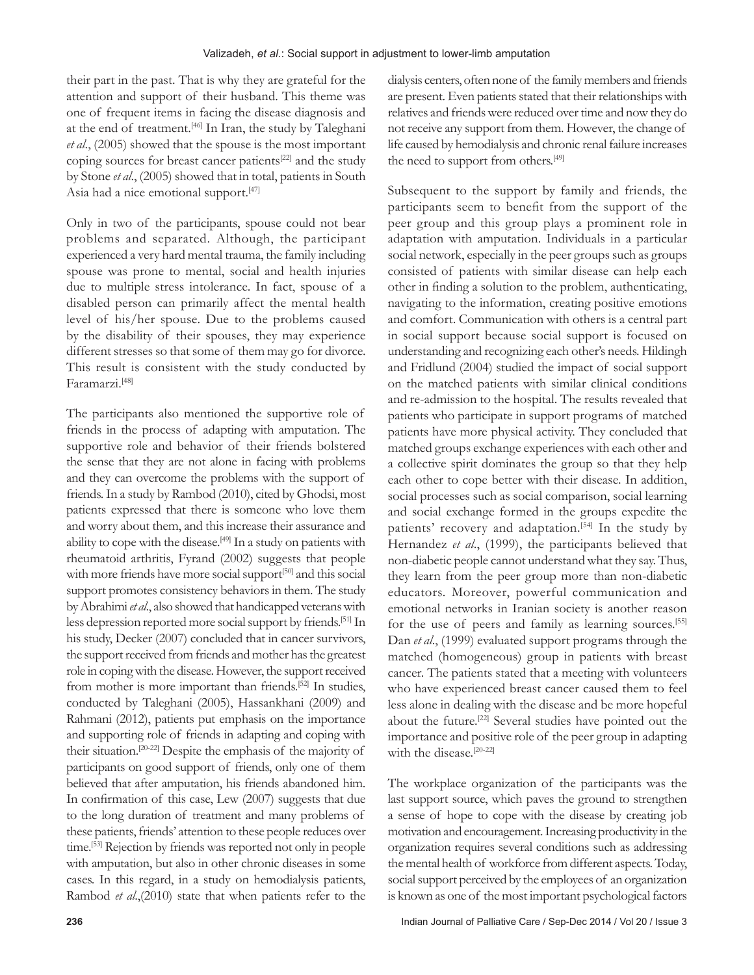their part in the past. That is why they are grateful for the attention and support of their husband. This theme was one of frequent items in facing the disease diagnosis and at the end of treatment.<sup>[46]</sup> In Iran, the study by Taleghani *et al*., (2005) showed that the spouse is the most important coping sources for breast cancer patients<sup>[22]</sup> and the study by Stone *et al*., (2005) showed that in total, patients in South Asia had a nice emotional support.<sup>[47]</sup>

Only in two of the participants, spouse could not bear problems and separated. Although, the participant experienced a very hard mental trauma, the family including spouse was prone to mental, social and health injuries due to multiple stress intolerance. In fact, spouse of a disabled person can primarily affect the mental health level of his/her spouse. Due to the problems caused by the disability of their spouses, they may experience different stresses so that some of them may go for divorce. This result is consistent with the study conducted by Faramarzi.[48]

The participants also mentioned the supportive role of friends in the process of adapting with amputation. The supportive role and behavior of their friends bolstered the sense that they are not alone in facing with problems and they can overcome the problems with the support of friends. In a study by Rambod (2010), cited by Ghodsi, most patients expressed that there is someone who love them and worry about them, and this increase their assurance and ability to cope with the disease.<sup>[49]</sup> In a study on patients with rheumatoid arthritis, Fyrand (2002) suggests that people with more friends have more social support<sup>[50]</sup> and this social support promotes consistency behaviors in them. The study by Abrahimi *et al*., also showed that handicapped veterans with less depression reported more social support by friends.[51] In his study, Decker (2007) concluded that in cancer survivors, the support received from friends and mother has the greatest role in coping with the disease. However, the support received from mother is more important than friends.[52] In studies, conducted by Taleghani (2005), Hassankhani (2009) and Rahmani (2012), patients put emphasis on the importance and supporting role of friends in adapting and coping with their situation.[20-22] Despite the emphasis of the majority of participants on good support of friends, only one of them believed that after amputation, his friends abandoned him. In confirmation of this case, Lew  $(2007)$  suggests that due to the long duration of treatment and many problems of these patients, friends' attention to these people reduces over time.[53] Rejection by friends was reported not only in people with amputation, but also in other chronic diseases in some cases. In this regard, in a study on hemodialysis patients, Rambod *et al*.,(2010) state that when patients refer to the

dialysis centers, often none of the family members and friends are present. Even patients stated that their relationships with relatives and friends were reduced over time and now they do not receive any support from them. However, the change of life caused by hemodialysis and chronic renal failure increases the need to support from others.[49]

Subsequent to the support by family and friends, the participants seem to benefit from the support of the peer group and this group plays a prominent role in adaptation with amputation. Individuals in a particular social network, especially in the peer groups such as groups consisted of patients with similar disease can help each other in finding a solution to the problem, authenticating, navigating to the information, creating positive emotions and comfort. Communication with others is a central part in social support because social support is focused on understanding and recognizing each other's needs. Hildingh and Fridlund (2004) studied the impact of social support on the matched patients with similar clinical conditions and re-admission to the hospital. The results revealed that patients who participate in support programs of matched patients have more physical activity. They concluded that matched groups exchange experiences with each other and a collective spirit dominates the group so that they help each other to cope better with their disease. In addition, social processes such as social comparison, social learning and social exchange formed in the groups expedite the patients' recovery and adaptation.<sup>[54]</sup> In the study by Hernandez *et al*., (1999), the participants believed that non-diabetic people cannot understand what they say. Thus, they learn from the peer group more than non-diabetic educators. Moreover, powerful communication and emotional networks in Iranian society is another reason for the use of peers and family as learning sources.[55] Dan *et al*., (1999) evaluated support programs through the matched (homogeneous) group in patients with breast cancer. The patients stated that a meeting with volunteers who have experienced breast cancer caused them to feel less alone in dealing with the disease and be more hopeful about the future.[22] Several studies have pointed out the importance and positive role of the peer group in adapting with the disease.<sup>[20-22]</sup>

The workplace organization of the participants was the last support source, which paves the ground to strengthen a sense of hope to cope with the disease by creating job motivation and encouragement. Increasing productivity in the organization requires several conditions such as addressing the mental health of workforce from different aspects. Today, social support perceived by the employees of an organization is known as one of the most important psychological factors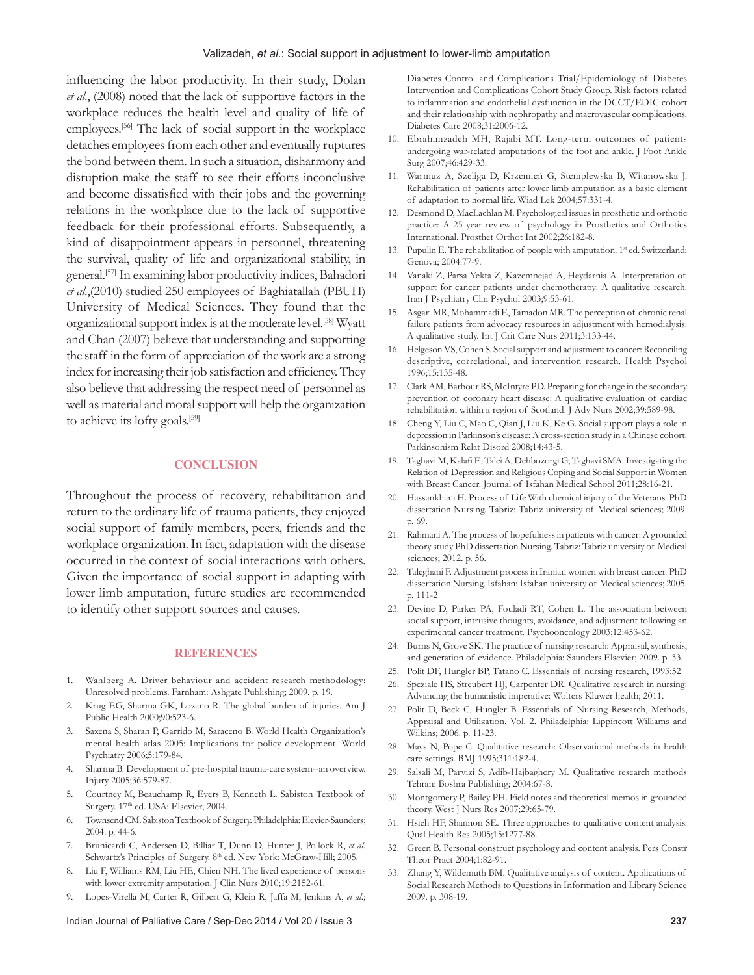influencing the labor productivity. In their study, Dolan *et al*., (2008) noted that the lack of supportive factors in the workplace reduces the health level and quality of life of employees.[56] The lack of social support in the workplace detaches employees from each other and eventually ruptures the bond between them. In such a situation, disharmony and disruption make the staff to see their efforts inconclusive and become dissatisfied with their jobs and the governing relations in the workplace due to the lack of supportive feedback for their professional efforts. Subsequently, a kind of disappointment appears in personnel, threatening the survival, quality of life and organizational stability, in general.[57] In examining labor productivity indices, Bahadori *et al*.,(2010) studied 250 employees of Baghiatallah (PBUH) University of Medical Sciences. They found that the organizational support index is at the moderate level.[58] Wyatt and Chan (2007) believe that understanding and supporting the staff in the form of appreciation of the work are a strong index for increasing their job satisfaction and efficiency. They also believe that addressing the respect need of personnel as well as material and moral support will help the organization to achieve its lofty goals.<sup>[59]</sup>

### **CONCLUSION**

Throughout the process of recovery, rehabilitation and return to the ordinary life of trauma patients, they enjoyed social support of family members, peers, friends and the workplace organization. In fact, adaptation with the disease occurred in the context of social interactions with others. Given the importance of social support in adapting with lower limb amputation, future studies are recommended to identify other support sources and causes.

#### **REFERENCES**

- 1. Wahlberg A. Driver behaviour and accident research methodology: Unresolved problems. Farnham: Ashgate Publishing; 2009. p. 19.
- 2. Krug EG, Sharma GK, Lozano R. The global burden of injuries. Am J Public Health 2000;90:523-6.
- 3. Saxena S, Sharan P, Garrido M, Saraceno B. World Health Organization's mental health atlas 2005: Implications for policy development. World Psychiatry 2006;5:179-84.
- 4. Sharma B. Development of pre-hospital trauma-care system--an overview. Injury 2005;36:579-87.
- 5. Courtney M, Beauchamp R, Evers B, Kenneth L. Sabiston Textbook of Surgery. 17<sup>th</sup> ed. USA: Elsevier; 2004.
- 6. Townsend CM. Sabiston Textbook of Surgery. Philadelphia: Elevier-Saunders; 2004. p. 44-6.
- 7. Brunicardi C, Andersen D, Billiar T, Dunn D, Hunter J, Pollock R, *et al*. Schwartz's Principles of Surgery. 8<sup>th</sup> ed. New York: McGraw-Hill; 2005.
- 8. Liu F, Williams RM, Liu HE, Chien NH. The lived experience of persons with lower extremity amputation. J Clin Nurs 2010;19:2152-61.
- 9. Lopes-Virella M, Carter R, Gilbert G, Klein R, Jaffa M, Jenkins A, *et al*.;

#### Indian Journal of Palliative Care / Sep-Dec 2014 / Vol 20 / Issue 3 **237**

Diabetes Control and Complications Trial/Epidemiology of Diabetes Intervention and Complications Cohort Study Group. Risk factors related to inflammation and endothelial dysfunction in the DCCT/EDIC cohort and their relationship with nephropathy and macrovascular complications. Diabetes Care 2008;31:2006-12.

- 10. Ebrahimzadeh MH, Rajabi MT. Long-term outcomes of patients undergoing war-related amputations of the foot and ankle. J Foot Ankle Surg 2007;46:429-33.
- 11. Warmuz A, Szeliga D, Krzemień G, Stemplewska B, Witanowska J. Rehabilitation of patients after lower limb amputation as a basic element of adaptation to normal life. Wiad Lek 2004;57:331-4.
- 12. Desmond D, MacLachlan M. Psychological issues in prosthetic and orthotic practice: A 25 year review of psychology in Prosthetics and Orthotics International. Prosthet Orthot Int 2002;26:182-8.
- 13. Pupulin E. The rehabilitation of people with amputation. 1<sup>st</sup> ed. Switzerland: Genova; 2004:77-9.
- 14. Vanaki Z, Parsa Yekta Z, Kazemnejad A, Heydarnia A. Interpretation of support for cancer patients under chemotherapy: A qualitative research. Iran J Psychiatry Clin Psychol 2003;9:53-61.
- 15. Asgari MR, Mohammadi E, Tamadon MR. The perception of chronic renal failure patients from advocacy resources in adjustment with hemodialysis: A qualitative study. Int J Crit Care Nurs 2011;3:133-44.
- 16. Helgeson VS, Cohen S. Social support and adjustment to cancer: Reconciling descriptive, correlational, and intervention research. Health Psychol 1996;15:135-48.
- 17. Clark AM, Barbour RS, McIntyre PD. Preparing for change in the secondary prevention of coronary heart disease: A qualitative evaluation of cardiac rehabilitation within a region of Scotland. J Adv Nurs 2002;39:589-98.
- 18. Cheng Y, Liu C, Mao C, Qian J, Liu K, Ke G. Social support plays a role in depression in Parkinson's disease: A cross-section study in a Chinese cohort. Parkinsonism Relat Disord 2008;14:43-5.
- 19. Taghavi M, Kalafi E, Talei A, Dehbozorgi G, Taghavi SMA. Investigating the Relation of Depression and Religious Coping and Social Support in Women with Breast Cancer. Journal of Isfahan Medical School 2011;28:16-21.
- 20. Hassankhani H. Process of Life With chemical injury of the Veterans. PhD dissertation Nursing. Tabriz: Tabriz university of Medical sciences; 2009. p. 69.
- 21. Rahmani A. The process of hopefulness in patients with cancer: A grounded theory study PhD dissertation Nursing. Tabriz: Tabriz university of Medical sciences; 2012. p. 56.
- 22. Taleghani F. Adjustment process in Iranian women with breast cancer. PhD dissertation Nursing. Isfahan: Isfahan university of Medical sciences; 2005. p. 111-2
- 23. Devine D, Parker PA, Fouladi RT, Cohen L. The association between social support, intrusive thoughts, avoidance, and adjustment following an experimental cancer treatment. Psychooncology 2003;12:453-62.
- 24. Burns N, Grove SK. The practice of nursing research: Appraisal, synthesis, and generation of evidence. Philadelphia: Saunders Elsevier; 2009. p. 33.
- 25. Polit DF, Hungler BP, Tatano C. Essentials of nursing research, 1993:52
- 26. Speziale HS, Streubert HJ, Carpenter DR. Qualitative research in nursing: Advancing the humanistic imperative: Wolters Kluwer health; 2011.
- 27. Polit D, Beck C, Hungler B. Essentials of Nursing Research, Methods, Appraisal and Utilization. Vol. 2. Philadelphia: Lippincott Williams and Wilkins; 2006. p. 11-23.
- 28. Mays N, Pope C. Qualitative research: Observational methods in health care settings. BMJ 1995;311:182-4.
- 29. Salsali M, Parvizi S, Adib-Hajbaghery M. Qualitative research methods Tehran: Boshra Publishing; 2004:67-8.
- 30. Montgomery P, Bailey PH. Field notes and theoretical memos in grounded theory. West J Nurs Res 2007;29:65-79.
- 31. Hsieh HF, Shannon SE. Three approaches to qualitative content analysis. Qual Health Res 2005;15:1277-88.
- 32. Green B. Personal construct psychology and content analysis. Pers Constr Theor Pract 2004;1:82-91.
- 33. Zhang Y, Wildemuth BM. Qualitative analysis of content. Applications of Social Research Methods to Questions in Information and Library Science 2009. p. 308-19.